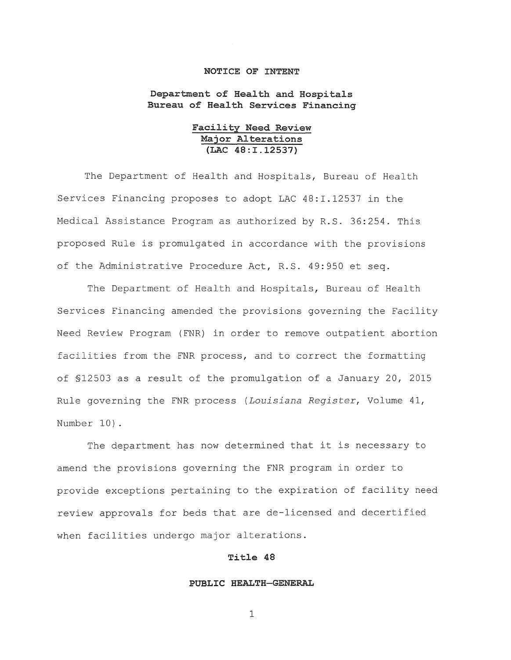# **NOTICE OF INTENT**

**Department of Health and Hospitals Bureau of Health Services Financing** 

> **Facility Need Review Major Alterations (LAC 48:I.12537)**

The Department of Health and Hospitals, Bureau of Health Services Financing proposes to adopt LAC 48:1.12537 in the Medical Assistance Program as authorized by R.S. 36:254. This proposed Rule is promulgated in accordance with the provisions of the Administrative Procedure Act, R.S. 49:950 et seq.

The Department of Health and Hospitals, Bureau of Health Services Financing amended the provisions governing the Facility Need Review Program (FNR) in order to remove outpatient abortion facilities from the FNR process, and to correct the formatting of §12503 as a result of the promulgation of a January 20, 2015 Rule governing the FNR process *(Louisiana Register,* Volume 41, Number 10).

The department has now determined that it is necessary to amend the provisions governing the FNR program in order to provide exceptions pertaining to the expiration of facility need review approvals for beds that are de-licensed and decertified when facilities undergo major alterations.

# **Title 48**

# **PUBLIC HEALTH-GENERAL**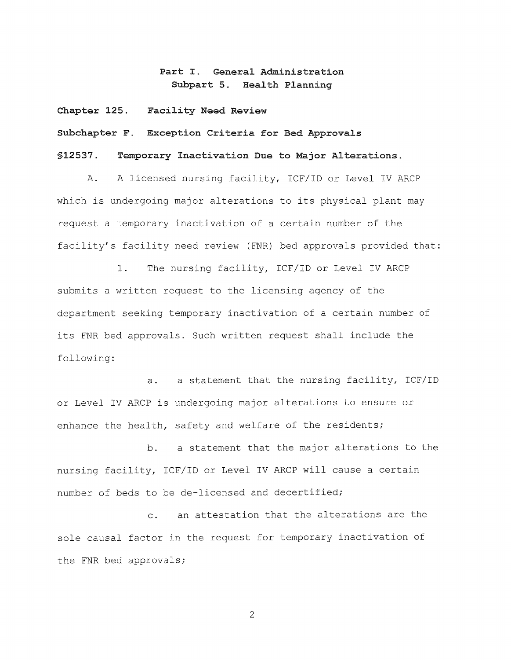**Part I. General Administration Subpart 5. Health Planning** 

**Chapter 125. Facility Need Review** 

**Subchapter F. Exception Criteria for Bed Approvals** 

**§12537. Temporary Inactivation Due to Major Alterations.** 

A. A licensed nursing facility, ICF/ID or Level IV ARCP which is undergoing major alterations to its physical plant may request a temporary inactivation of a certain number of the facility's facility need review (FNR) bed approvals provided that:

1. The nursing facility, ICF/ID or Level IV ARCP submits a written request to the licensing agency of the department seeking temporary inactivation of a certain number of its FNR bed approvals. Such written request shall include the following:

a. a statement that the nursing facility, ICF/ID or Level IV ARCP is undergoing major alterations to ensure or enhance the health, safety and welfare of the residents;

b. a statement that the major alterations to the nursing facility, ICF/ID or Level IV ARCP will cause a certain number of beds to be de-licensed and decertified;

c. an attestation that the alterations are the sole causal factor in the request for temporary inactivation of the FNR bed approvals;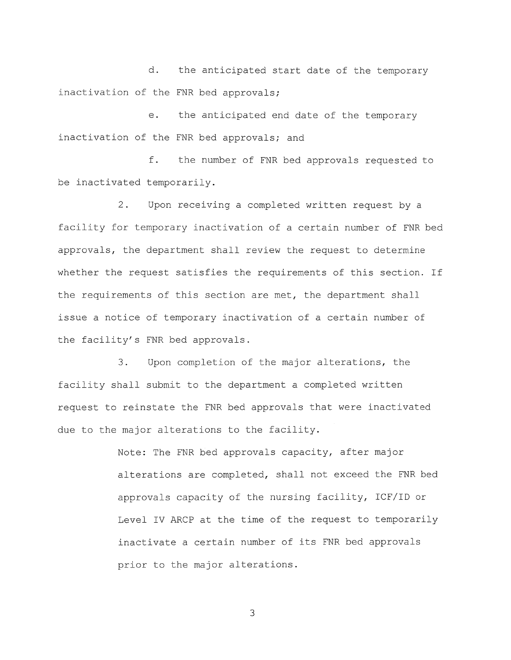d. the anticipated start date of the temporary inactivation of the FNR bed approvals;

e. the anticipated end date of the temporary inactivation of the FNR bed approvals; and

f. the number of FNR bed approvals requested to be inactivated temporarily.

2. Upon receiving a completed written request by a facility for temporary inactivation of a certain number of FNR bed approvals, the department shall review the request to determine whether the request satisfies the requirements of this section. If the requirements of this section are met, the department shall issue a notice of temporary inactivation of a certain number of the facility's FNR bed approvals.

3. Upon completion of the major alterations, the facility shall submit to the department a completed written request to reinstate the FNR bed approvals that were inactivated due to the major alterations to the facility.

> Note: The FNR bed approvals capacity, after major alterations are completed, shall not exceed the FNR bed approvals capacity of the nursing facility, ICF/ID or Level IV ARCP at the time of the request to temporarily inactivate a certain number of its FNR bed approvals prior to the major alterations.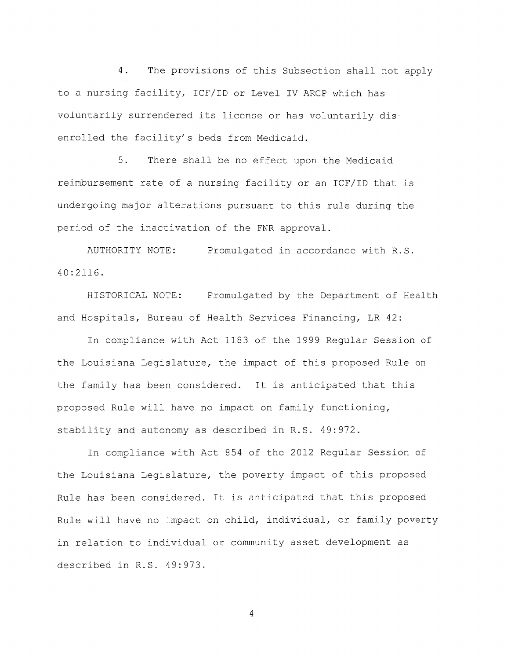4. The provisions of this Subsection shall not apply to a nursing facility, ICF/ID or Level IV ARCP which has voluntarily surrendered its license or has voluntarily disenrolled the facility's beds from Medicaid.

5. There shall be no effect upon the Medicaid reimbursement rate of a nursing facility or an ICF/ID that is undergoing major alterations pursuant to this rule during the period of the inactivation of the FNR approval.

AUTHORITY NOTE: 40:2116. Promulgated in accordance with R.S.

HISTORICAL NOTE: Promulgated by the Department of Health and Hospitals, Bureau of Health Services Financing, LR 42:

In compliance with Act 1183 of the 1999 Regular Session of the Louisiana Legislature, the impact of this proposed Rule on the family has been considered. It is anticipated that this proposed Rule will have no impact on family functioning, stability and autonomy as described in R.S. 49:972.

In compliance with Act 854 of the 2012 Regular Session of the Louisiana Legislature, the poverty impact of this proposed Rule has been considered. It is anticipated that this proposed Rule will have no impact on child, individual, or family poverty in relation to individual or community asset development as described in R.S. 49:973.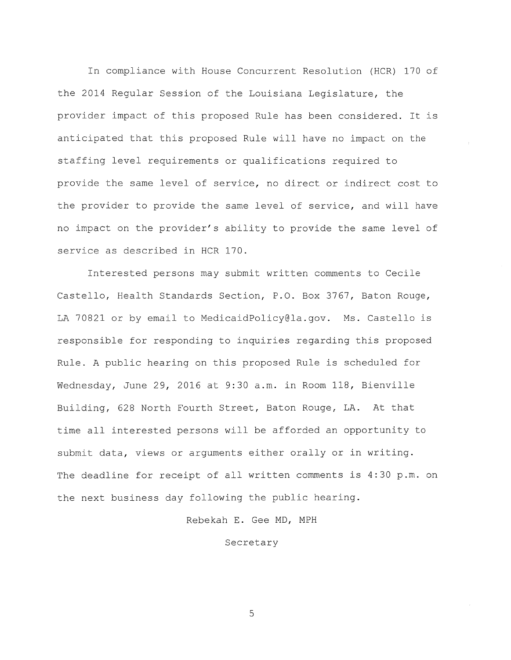In compliance with House Concurrent Resolution (HCR) 170 of the 2014 Regular Session of the Louisiana Legislature, the provider impact of this proposed Rule has been considered. It is anticipated that this proposed Rule will have no impact on the staffing level requirements or qualifications required to provide the same level of service, no direct or indirect cost to the provider to provide the same level of service, and will have no impact on the provider's ability to provide the same level of service as described in HCR 170.

Interested persons may submit written comments to Cecile Castello, Health Standards Section, P.O. Box 3767, Baton Rouge, LA 70821 or by email to MedicaidPolicy@la.gov. Ms. Castello is responsible for responding to inquiries regarding this proposed Rule. A public hearing on this proposed Rule is scheduled for Wednesday, June 29, 2016 at 9:30 a.m. in Room 118, Bienville Building, 628 North Fourth Street, Baton Rouge, LA. At that time all interested persons will be afforded an opportunity to submit data, views or arguments either orally or in writing. The deadline for receipt of all written comments is 4:30 p.m. on the next business day following the public hearing.

Rebekah E. Gee MD, MPH

# Secretary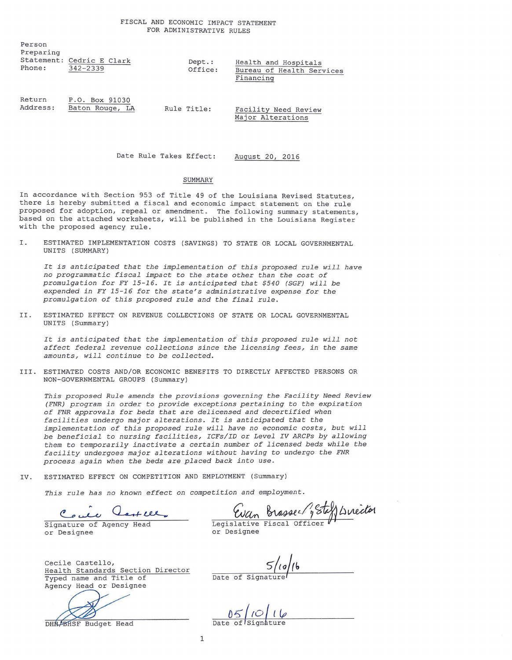| Person<br>Preparing<br>Phone: | Statement: Cedric E Clark<br>$342 - 2339$ | Dept.:<br>Office: | Health and Hospitals<br>Bureau of Health Services<br>Financing |
|-------------------------------|-------------------------------------------|-------------------|----------------------------------------------------------------|
| Return<br>Address:            | P.O. Box 91030<br>Baton Rouge, LA         | Rule Title:       | Facility Need Review<br>Major Alterations                      |

Date Rule Takes Effect: August 20, 2016

## SUMMARY

In accordance with Section 953 of Title 49 of the Louisiana Revised Statutes, there is hereby submitted a fiscal and economic impact statement on the rule proposed for adoption, repeal or amendment. The following summary statements, based on the attached worksheets, will be published in the Louisiana Register with the proposed agency rule.

I. ESTIMATED IMPLEMENTATION COSTS (SAVINGS) TO STATE OR LOCAL GOVERNMENTAL UNITS (SUMMARY)

*It is anticipated that the implementation of this proposed rule will have*  no *programmatic fiscal impact to the state other than the cost of promulgation for FY 15-16. It is anticipated that \$540 (SGF) will be expended* in *FY 15-16 for the state's administrative expense for the promulgation of this proposed rule* and *the final rule.* 

II. ESTIMATED EFFECT ON REVENUE COLLECTIONS OF STATE OR LOCAL GOVERNMENTAL UNITS (Summary)

It is anticipated that the implementation of this proposed rule will not *affect federal revenue collections* since *the licensing fees,* in *the same*  amounts, *will* continue *to be collected.* 

III. ESTIMATED COSTS AND/OR ECONOMIC BENEFITS TO DIRECTLY AFFECTED PERSONS OR NON-GOVERNMENTAL GROUPS (Summary)

*This proposed Rule* amends *the provisions governing the Facility Need Review (FNR) program* in *order to provide exceptions pertaining to the expiration of FNR approvals for beds that are* delicensed and *decertified when facilities undergo major alterations. It is anticipated that the implementation of this proposed rule will have* no economic *costs, but will be beneficial to* nursing *facilities, ICFs/ID or Level IV ARCPs by allowing them to temporarily inactivate a* certain *number of licensed beds while the facility undergoes major alterations without having to undergo the FNR process again when the beds are placed back* into *use.* 

IV. ESTIMATED EFFECT ON COMPETITION AND EMPLOYMENT (Summary)

*This rule has* no known *effect* on *competition* and *employment.* 

Coule Cast lll

or Designee

Cecile Castello, Health Standards Section Director Typed name and Title of Agency Head or Designee

Agency Head or Designee<br>DHA/BASF Budget Head

 $05/10/16$ 

 $\frac{5}{\sqrt{10}}$ 

or Designee

Evan Brasser 1, Steff Linector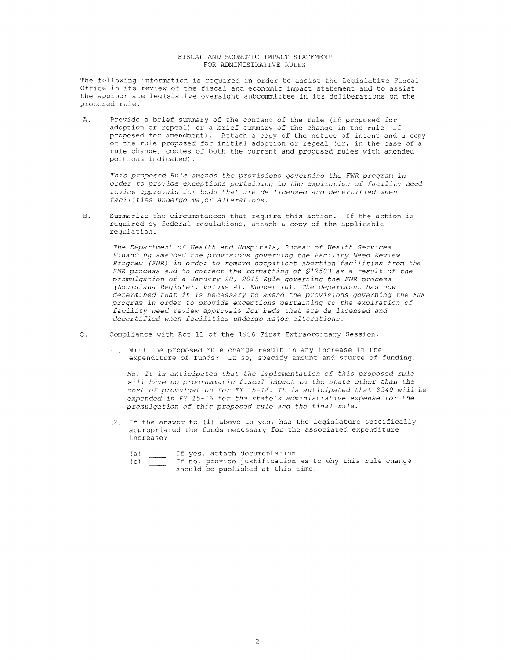## FISCAL AND ECONOMIC IMPACT STATEMENT FOR ADMINISTRATIVE RULES

The following information is required in order to assist the Legislative Fiscal Office in its review of the fiscal and economic impact statement and to assist the appropriate legislative oversight subcommittee in its deliberations on the proposed rule.

A. Provide a brief summary of the content of the rule (if proposed for adoption or repeal) or a brief summary of the change in the rule (if proposed for amendment) . Attach a copy of the notice of intent and a copy of the rule proposed for initial adoption or repeal (or, in the case of a rule change, copies of both the current and proposed rules with amended portions indicated).

*This proposed Rule amends the provisions governing the FNR program in order to provide exceptions pertaining to the expiration of facility need review approvals for beds that are de-licensed and decertified when facilities undergo major alterations.* 

B. Summarize the circumstances that require this action. If the action is required by federal regulations, attach a copy of the applicable regulation.

*The Department of Health and Hospitals, Bureau of Health Services Financing amended the provisions governing the Facility Need Review Program (FNR) in order to remove outpatient abortion facilities from the FNR process and to correct the formatting of §12503 as a result of the promulgation of a January 20, 2015 Rule governing the FNR process (Louisiana Register, Volume 41, Number 10). The department has now determined that it is necessary to amend the provisions governing the FNR program in order* to *provide exceptions pertaining* to *the expiration of facility need review approvals for beds that are de-licensed and decertified ;vhen facilities undergo* major *alterations.* 

- C. Compliance with Act 11 of the 1986 First Extraordinary Session.
	- (1) Will the proposed rule change result in any increase in the expenditure of funds? If so, specify amount and source of funding.

*No. It is anticipated that the implementation of this proposed rule will have no programmatic fiscal impact to the state other than the cost of promulgation for FY 15-16. It is anticipated that \$540 will be expended in FY 15-16 for the state's administrative expense for the promulgation of this proposed rule and the final rule.* 

- (2) If the answer to (1) above is yes, has the Legislature specifically appropriated the funds necessary for the associated expenditure increase?
	- $(a)$ If yes, attach documentation.
	- (b) If no, provide justification as to why this rule change should be published at this time.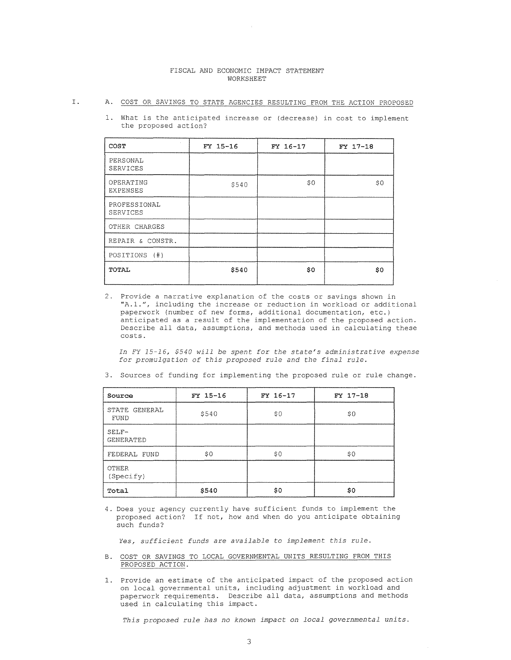## FISCAL AND ECONOMIC IMPACT STATEMENT WORKSHEET

## I. A. COST OR SAVINGS TO STATE AGENCIES RESULTING FROM THE ACTION PROPOSED

1. What is the anticipated increase or (decrease) in cost to implement the proposed action?

| COST                         | FY 15-16 | FY 16-17 | FY 17-18 |
|------------------------------|----------|----------|----------|
| PERSONAL<br><b>SERVICES</b>  |          |          |          |
| OPERATING<br><b>EXPENSES</b> | \$540    | \$0      | \$0      |
| PROFESSIONAL<br>SERVICES     |          |          |          |
| OTHER CHARGES                |          |          |          |
| REPAIR & CONSTR.             |          |          |          |
| POSITIONS (#)                |          |          |          |
| TOTAL                        | \$540    | \$0      | \$0      |

2. Provide a narrative explanation of the costs or savings shown in "A.1.", including the increase or reduction in workload or additional paperwork (number of new forms, additional documentation, etc.) anticipated as a result of the implementation of the proposed action. Describe all data, assumptions, and methods used in calculating these costs.

*In FY 15-16, \$540 will be spent for the state's administrative expense for promulgation of this proposed rule and the final rule.* 

| Source                    | FY 15-16 | $FY 16-17$ | FY 17-18 |
|---------------------------|----------|------------|----------|
| STATE GENERAL<br>FUND     | \$540    | \$0        | \$0      |
| SELF-<br><b>GENERATED</b> |          |            |          |
| FEDERAL FUND              | \$0      | \$0        | \$0      |
| OTHER<br>(Specify)        |          |            |          |
| Total                     | \$540    | \$0        | \$0      |

3. Sources of funding for implementing the proposed rule or rule change.

4. Does your agency currently have sufficient funds to implement the proposed action? If not, how and when do you anticipate obtaining such funds?

*Yes, sufficient funds are available to implement this rule.* 

- B. COST OR SAVINGS TO LOCAL GOVERNMENTAL UNITS RESULTING FROM THIS PROPOSED ACTION.
- 1. Provide an estimate of the anticipated impact of the proposed action on local governmental units, including adjustment in workload and paperwork requirements. Describe all data, assumptions and methods used in calculating this impact.

This proposed rule has no known impact on local governmental units.